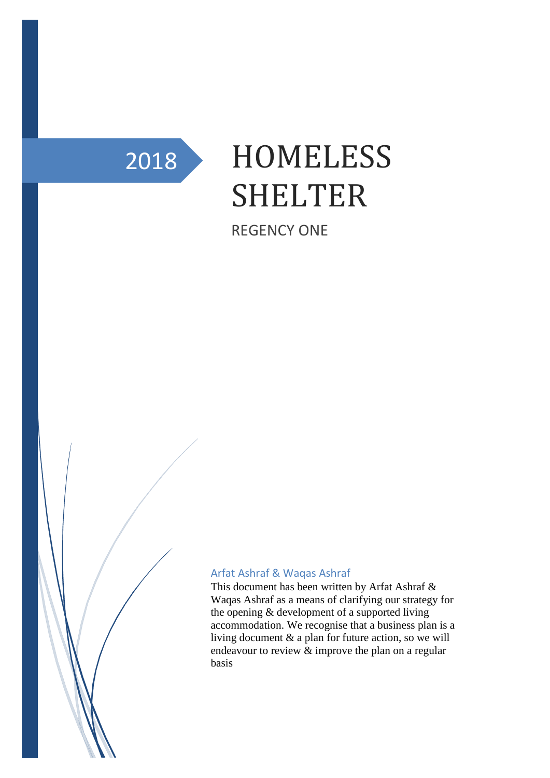

# 2018 HOMELESS SHELTER

REGENCY ONE

#### Arfat Ashraf & Waqas Ashraf

This document has been written by Arfat Ashraf & Waqas Ashraf as a means of clarifying our strategy for the opening & development of a supported living accommodation. We recognise that a business plan is a living document & a plan for future action, so we will endeavour to review & improve the plan on a regular basis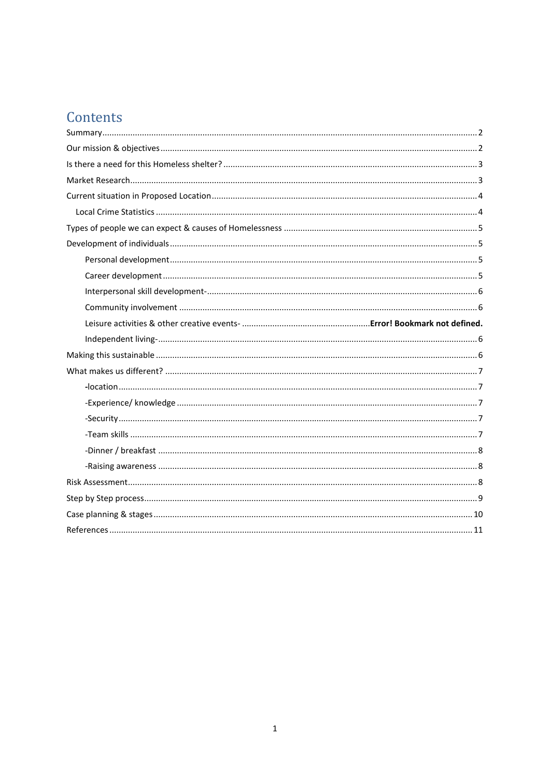# Contents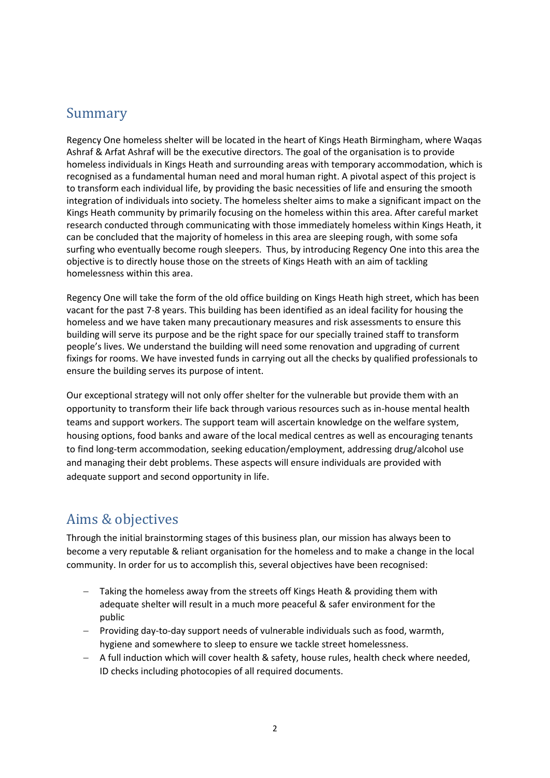#### <span id="page-2-0"></span>Summary

Regency One homeless shelter will be located in the heart of Kings Heath Birmingham, where Waqas Ashraf & Arfat Ashraf will be the executive directors. The goal of the organisation is to provide homeless individuals in Kings Heath and surrounding areas with temporary accommodation, which is recognised as a fundamental human need and moral human right. A pivotal aspect of this project is to transform each individual life, by providing the basic necessities of life and ensuring the smooth integration of individuals into society. The homeless shelter aims to make a significant impact on the Kings Heath community by primarily focusing on the homeless within this area. After careful market research conducted through communicating with those immediately homeless within Kings Heath, it can be concluded that the majority of homeless in this area are sleeping rough, with some sofa surfing who eventually become rough sleepers. Thus, by introducing Regency One into this area the objective is to directly house those on the streets of Kings Heath with an aim of tackling homelessness within this area.

Regency One will take the form of the old office building on Kings Heath high street, which has been vacant for the past 7-8 years. This building has been identified as an ideal facility for housing the homeless and we have taken many precautionary measures and risk assessments to ensure this building will serve its purpose and be the right space for our specially trained staff to transform people's lives. We understand the building will need some renovation and upgrading of current fixings for rooms. We have invested funds in carrying out all the checks by qualified professionals to ensure the building serves its purpose of intent.

Our exceptional strategy will not only offer shelter for the vulnerable but provide them with an opportunity to transform their life back through various resources such as in-house mental health teams and support workers. The support team will ascertain knowledge on the welfare system, housing options, food banks and aware of the local medical centres as well as encouraging tenants to find long-term accommodation, seeking education/employment, addressing drug/alcohol use and managing their debt problems. These aspects will ensure individuals are provided with adequate support and second opportunity in life.

## <span id="page-2-1"></span>Aims & objectives

Through the initial brainstorming stages of this business plan, our mission has always been to become a very reputable & reliant organisation for the homeless and to make a change in the local community. In order for us to accomplish this, several objectives have been recognised:

- Taking the homeless away from the streets off Kings Heath & providing them with adequate shelter will result in a much more peaceful & safer environment for the public
- − Providing day-to-day support needs of vulnerable individuals such as food, warmth, hygiene and somewhere to sleep to ensure we tackle street homelessness.
- − A full induction which will cover health & safety, house rules, health check where needed, ID checks including photocopies of all required documents.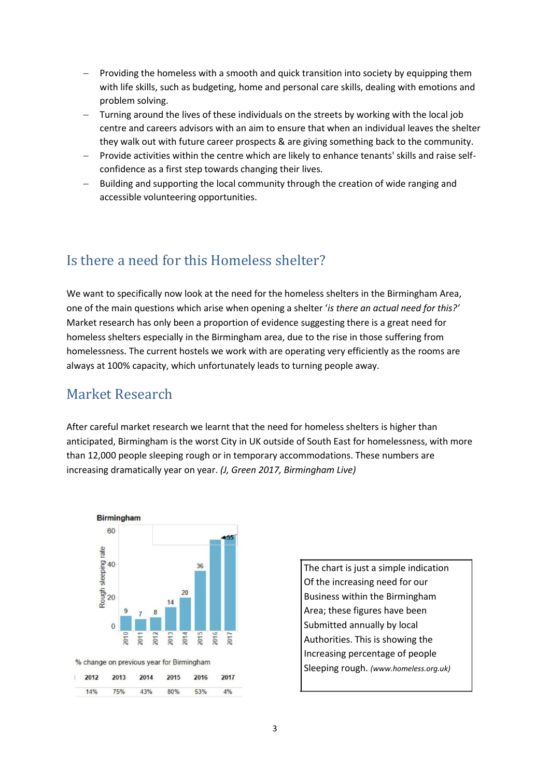- Providing the homeless with a smooth and quick transition into society by equipping them with life skills, such as budgeting, home and personal care skills, dealing with emotions and problem solving.
- Turning around the lives of these individuals on the streets by working with the local job centre and careers advisors with an aim to ensure that when an individual leaves the shelter they walk out with future career prospects & are giving something back to the community.
- − Provide activities within the centre which are likely to enhance tenants' skills and raise selfconfidence as a first step towards changing their lives.
- Building and supporting the local community through the creation of wide ranging and accessible volunteering opportunities.

## <span id="page-3-0"></span>Is there a need for this Homeless shelter?

We want to specifically now look at the need for the homeless shelters in the Birmingham Area, one of the main questions which arise when opening a shelter '*is there an actual need for this?'*  Market research has only been a proportion of evidence suggesting there is a great need for homeless shelters especially in the Birmingham area, due to the rise in those suffering from homelessness. The current hostels we work with are operating very efficiently as the rooms are always at 100% capacity, which unfortunately leads to turning people away.

## <span id="page-3-1"></span>Market Research

After careful market research we learnt that the need for homeless shelters is higher than anticipated, Birmingham is the worst City in UK outside of South East for homelessness, with more than 12,000 people sleeping rough or in temporary accommodations. These numbers are increasing dramatically year on year. *(J, Green 2017, Birmingham Live)*



The chart is just a simple indication Of the increasing need for our Business within the Birmingham Area; these figures have been Submitted annually by local Authorities. This is showing the Increasing percentage of people Sleeping rough. *(www.homeless.org.uk)*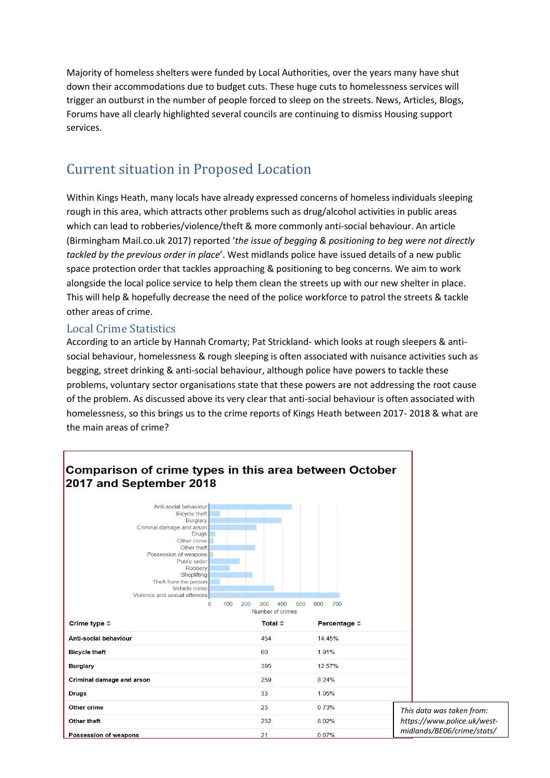Majority of homeless shelters were funded by Local Authorities, over the years many have shut down their accommodations due to budget cuts. These huge cuts to homelessness services will trigger an outburst in the number of people forced to sleep on the streets. News, Articles, Blogs, Forums have all clearly highlighted several councils are continuing to dismiss Housing support services.

# <span id="page-4-0"></span>Current situation in Proposed Location

Within Kings Heath, many locals have already expressed concerns of homeless individuals sleeping rough in this area, which attracts other problems such as drug/alcohol activities in public areas which can lead to robberies/violence/theft & more commonly anti-social behaviour. An article (Birmingham Mail.co.uk 2017) reported '*the issue of begging & positioning to beg were not directly tackled by the previous order in place*'. West midlands police have issued details of a new public space protection order that tackles approaching & positioning to beg concerns. We aim to work alongside the local police service to help them clean the streets up with our new shelter in place. This will help & hopefully decrease the need of the police workforce to patrol the streets & tackle other areas of crime.

#### <span id="page-4-1"></span>Local Crime Statistics

According to an article by Hannah Cromarty; Pat Strickland- which looks at rough sleepers & antisocial behaviour, homelessness & rough sleeping is often associated with nuisance activities such as begging, street drinking & anti-social behaviour, although police have powers to tackle these problems, voluntary sector organisations state that these powers are not addressing the root cause of the problem. As discussed above its very clear that anti-social behaviour is often associated with homelessness, so this brings us to the crime reports of Kings Heath between 2017- 2018 & what are the main areas of crime?

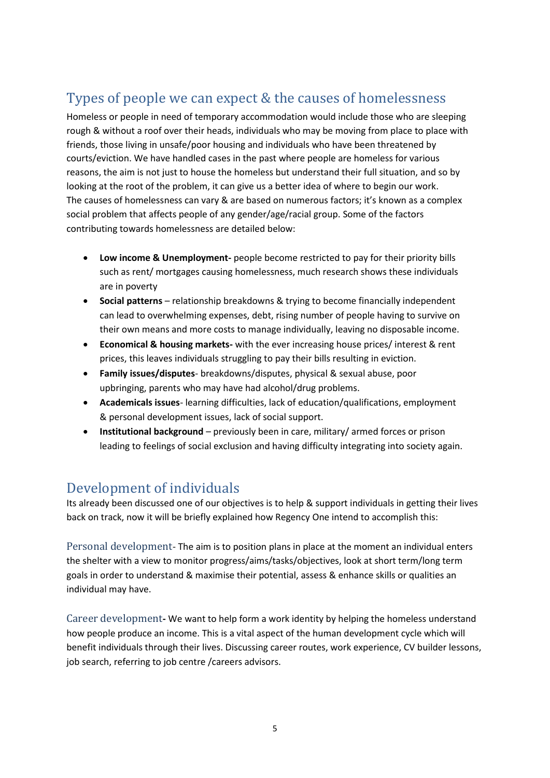# <span id="page-5-0"></span>Types of people we can expect & the causes of homelessness

Homeless or people in need of temporary accommodation would include those who are sleeping rough & without a roof over their heads, individuals who may be moving from place to place with friends, those living in unsafe/poor housing and individuals who have been threatened by courts/eviction. We have handled cases in the past where people are homeless for various reasons, the aim is not just to house the homeless but understand their full situation, and so by looking at the root of the problem, it can give us a better idea of where to begin our work. The causes of homelessness can vary & are based on numerous factors; it's known as a complex social problem that affects people of any gender/age/racial group. Some of the factors contributing towards homelessness are detailed below:

- **Low income & Unemployment-** people become restricted to pay for their priority bills such as rent/ mortgages causing homelessness, much research shows these individuals are in poverty
- **Social patterns**  relationship breakdowns & trying to become financially independent can lead to overwhelming expenses, debt, rising number of people having to survive on their own means and more costs to manage individually, leaving no disposable income.
- **Economical & housing markets-** with the ever increasing house prices/ interest & rent prices, this leaves individuals struggling to pay their bills resulting in eviction.
- **Family issues/disputes** breakdowns/disputes, physical & sexual abuse, poor upbringing, parents who may have had alcohol/drug problems.
- **Academicals issues** learning difficulties, lack of education/qualifications, employment & personal development issues, lack of social support.
- **Institutional background** previously been in care, military/ armed forces or prison leading to feelings of social exclusion and having difficulty integrating into society again.

## <span id="page-5-1"></span>Development of individuals

Its already been discussed one of our objectives is to help & support individuals in getting their lives back on track, now it will be briefly explained how Regency One intend to accomplish this:

<span id="page-5-2"></span>Personal development- The aim is to position plans in place at the moment an individual enters the shelter with a view to monitor progress/aims/tasks/objectives, look at short term/long term goals in order to understand & maximise their potential, assess & enhance skills or qualities an individual may have.

<span id="page-5-3"></span>Career development**-** We want to help form a work identity by helping the homeless understand how people produce an income. This is a vital aspect of the human development cycle which will benefit individuals through their lives. Discussing career routes, work experience, CV builder lessons, job search, referring to job centre /careers advisors.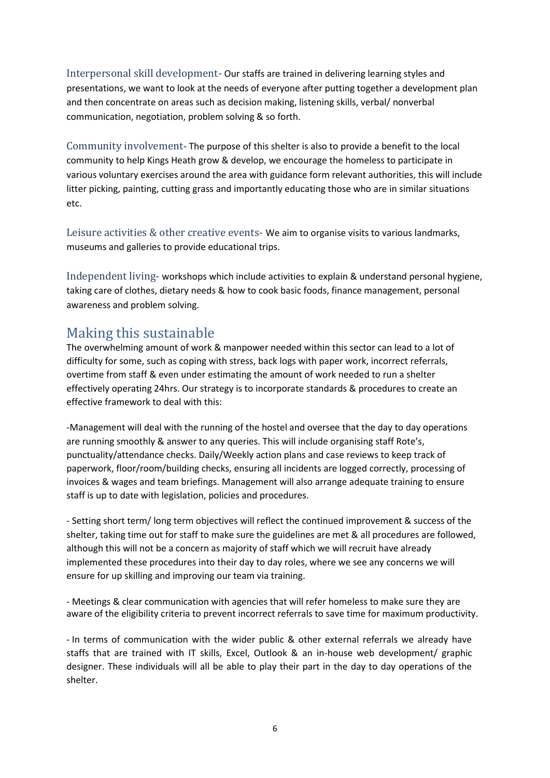<span id="page-6-0"></span>Interpersonal skill development- Our staffs are trained in delivering learning styles and presentations, we want to look at the needs of everyone after putting together a development plan and then concentrate on areas such as decision making, listening skills, verbal/ nonverbal communication, negotiation, problem solving & so forth.

<span id="page-6-1"></span>Community involvement- The purpose of this shelter is also to provide a benefit to the local community to help Kings Heath grow & develop, we encourage the homeless to participate in various voluntary exercises around the area with guidance form relevant authorities, this will include litter picking, painting, cutting grass and importantly educating those who are in similar situations etc.

Leisure activities & other creative events- We aim to organise visits to various landmarks, museums and galleries to provide educational trips.

<span id="page-6-2"></span>Independent living- workshops which include activities to explain & understand personal hygiene, taking care of clothes, dietary needs & how to cook basic foods, finance management, personal awareness and problem solving.

## <span id="page-6-3"></span>Making this sustainable

The overwhelming amount of work & manpower needed within this sector can lead to a lot of difficulty for some, such as coping with stress, back logs with paper work, incorrect referrals, overtime from staff & even under estimating the amount of work needed to run a shelter effectively operating 24hrs. Our strategy is to incorporate standards & procedures to create an effective framework to deal with this:

-Management will deal with the running of the hostel and oversee that the day to day operations are running smoothly & answer to any queries. This will include organising staff Rote's, punctuality/attendance checks. Daily/Weekly action plans and case reviews to keep track of paperwork, floor/room/building checks, ensuring all incidents are logged correctly, processing of invoices & wages and team briefings. Management will also arrange adequate training to ensure staff is up to date with legislation, policies and procedures.

- Setting short term/ long term objectives will reflect the continued improvement & success of the shelter, taking time out for staff to make sure the guidelines are met & all procedures are followed, although this will not be a concern as majority of staff which we will recruit have already implemented these procedures into their day to day roles, where we see any concerns we will ensure for up skilling and improving our team via training.

- Meetings & clear communication with agencies that will refer homeless to make sure they are aware of the eligibility criteria to prevent incorrect referrals to save time for maximum productivity.

- In terms of communication with the wider public & other external referrals we already have staffs that are trained with IT skills, Excel, Outlook & an in-house web development/ graphic designer. These individuals will all be able to play their part in the day to day operations of the shelter.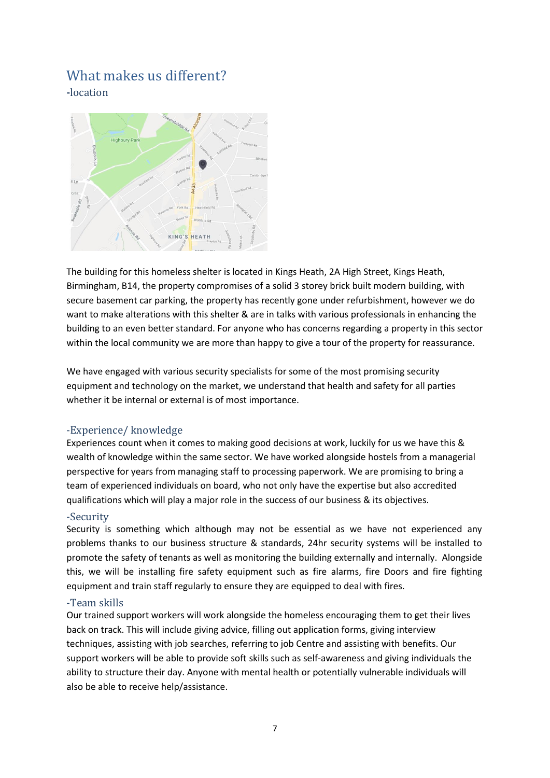#### <span id="page-7-1"></span><span id="page-7-0"></span>What makes us different? **-**location



The building for this homeless shelter is located in Kings Heath, 2A High Street, Kings Heath, Birmingham, B14, the property compromises of a solid 3 storey brick built modern building, with secure basement car parking, the property has recently gone under refurbishment, however we do want to make alterations with this shelter & are in talks with various professionals in enhancing the building to an even better standard. For anyone who has concerns regarding a property in this sector within the local community we are more than happy to give a tour of the property for reassurance.

We have engaged with various security specialists for some of the most promising security equipment and technology on the market, we understand that health and safety for all parties whether it be internal or external is of most importance.

#### <span id="page-7-2"></span>-Experience/ knowledge

Experiences count when it comes to making good decisions at work, luckily for us we have this & wealth of knowledge within the same sector. We have worked alongside hostels from a managerial perspective for years from managing staff to processing paperwork. We are promising to bring a team of experienced individuals on board, who not only have the expertise but also accredited qualifications which will play a major role in the success of our business & its objectives.

#### <span id="page-7-3"></span>-Security

Security is something which although may not be essential as we have not experienced any problems thanks to our business structure & standards, 24hr security systems will be installed to promote the safety of tenants as well as monitoring the building externally and internally. Alongside this, we will be installing fire safety equipment such as fire alarms, fire Doors and fire fighting equipment and train staff regularly to ensure they are equipped to deal with fires.

#### <span id="page-7-4"></span>-Team skills

Our trained support workers will work alongside the homeless encouraging them to get their lives back on track. This will include giving advice, filling out application forms, giving interview techniques, assisting with job searches, referring to job Centre and assisting with benefits. Our support workers will be able to provide soft skills such as self-awareness and giving individuals the ability to structure their day. Anyone with mental health or potentially vulnerable individuals will also be able to receive help/assistance.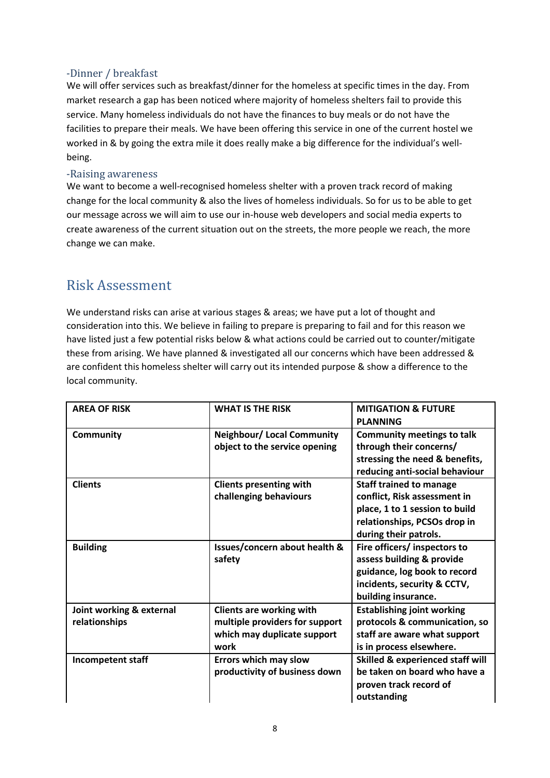#### <span id="page-8-0"></span>-Dinner / breakfast

We will offer services such as breakfast/dinner for the homeless at specific times in the day. From market research a gap has been noticed where majority of homeless shelters fail to provide this service. Many homeless individuals do not have the finances to buy meals or do not have the facilities to prepare their meals. We have been offering this service in one of the current hostel we worked in & by going the extra mile it does really make a big difference for the individual's wellbeing.

#### <span id="page-8-1"></span>-Raising awareness

We want to become a well-recognised homeless shelter with a proven track record of making change for the local community & also the lives of homeless individuals. So for us to be able to get our message across we will aim to use our in-house web developers and social media experts to create awareness of the current situation out on the streets, the more people we reach, the more change we can make.

## <span id="page-8-2"></span>Risk Assessment

We understand risks can arise at various stages & areas; we have put a lot of thought and consideration into this. We believe in failing to prepare is preparing to fail and for this reason we have listed just a few potential risks below & what actions could be carried out to counter/mitigate these from arising. We have planned & investigated all our concerns which have been addressed & are confident this homeless shelter will carry out its intended purpose & show a difference to the local community.

| <b>AREA OF RISK</b>      | <b>WHAT IS THE RISK</b>           | <b>MITIGATION &amp; FUTURE</b>              |
|--------------------------|-----------------------------------|---------------------------------------------|
|                          |                                   | <b>PLANNING</b>                             |
| <b>Community</b>         | <b>Neighbour/ Local Community</b> | <b>Community meetings to talk</b>           |
|                          | object to the service opening     | through their concerns/                     |
|                          |                                   | stressing the need & benefits,              |
|                          |                                   | reducing anti-social behaviour              |
| <b>Clients</b>           | <b>Clients presenting with</b>    | <b>Staff trained to manage</b>              |
|                          | challenging behaviours            | conflict, Risk assessment in                |
|                          |                                   | place, 1 to 1 session to build              |
|                          |                                   | relationships, PCSOs drop in                |
|                          |                                   | during their patrols.                       |
| <b>Building</b>          | Issues/concern about health &     | Fire officers/ inspectors to                |
|                          | safety                            | assess building & provide                   |
|                          |                                   | guidance, log book to record                |
|                          |                                   | incidents, security & CCTV,                 |
|                          |                                   | building insurance.                         |
| Joint working & external | <b>Clients are working with</b>   | <b>Establishing joint working</b>           |
| relationships            | multiple providers for support    | protocols & communication, so               |
|                          | which may duplicate support       | staff are aware what support                |
|                          | work                              | is in process elsewhere.                    |
| Incompetent staff        | <b>Errors which may slow</b>      | <b>Skilled &amp; experienced staff will</b> |
|                          | productivity of business down     | be taken on board who have a                |
|                          |                                   | proven track record of                      |
|                          |                                   | outstanding                                 |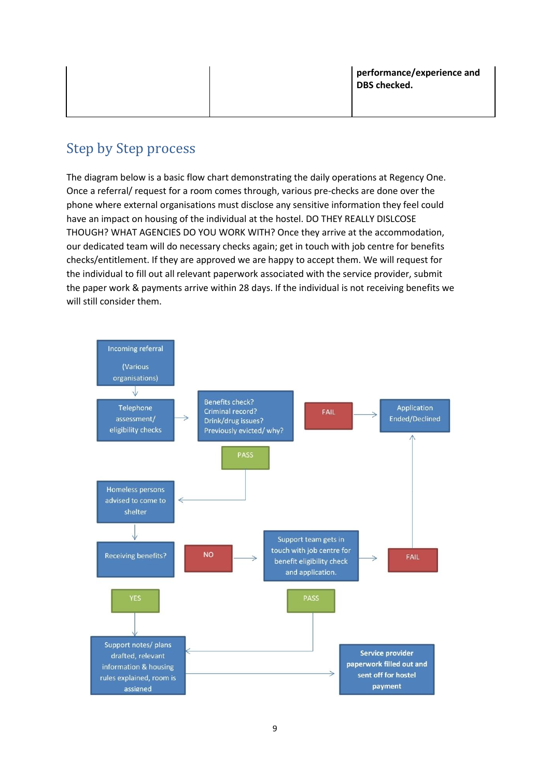## <span id="page-9-0"></span>Step by Step process

The diagram below is a basic flow chart demonstrating the daily operations at Regency One. Once a referral/ request for a room comes through, various pre-checks are done over the phone where external organisations must disclose any sensitive information they feel could have an impact on housing of the individual at the hostel. DO THEY REALLY DISLCOSE THOUGH? WHAT AGENCIES DO YOU WORK WITH? Once they arrive at the accommodation, our dedicated team will do necessary checks again; get in touch with job centre for benefits checks/entitlement. If they are approved we are happy to accept them. We will request for the individual to fill out all relevant paperwork associated with the service provider, submit the paper work & payments arrive within 28 days. If the individual is not receiving benefits we will still consider them.

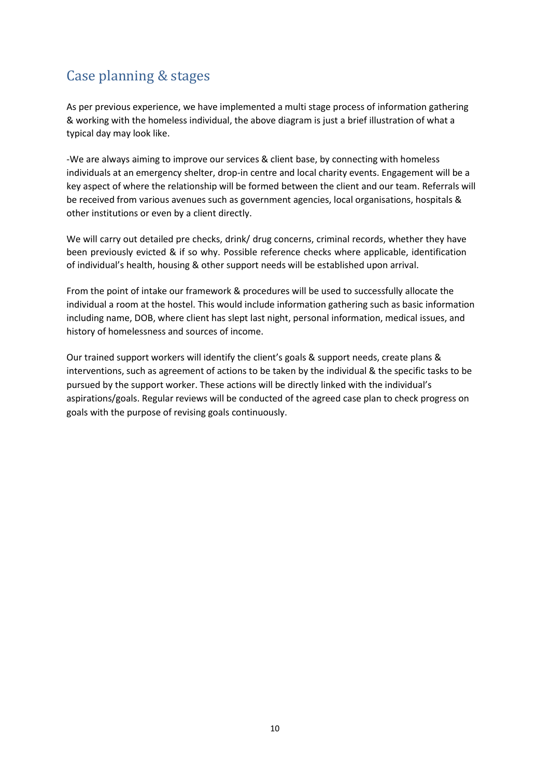# <span id="page-10-0"></span>Case planning & stages

As per previous experience, we have implemented a multi stage process of information gathering & working with the homeless individual, the above diagram is just a brief illustration of what a typical day may look like.

-We are always aiming to improve our services & client base, by connecting with homeless individuals at an emergency shelter, drop-in centre and local charity events. Engagement will be a key aspect of where the relationship will be formed between the client and our team. Referrals will be received from various avenues such as government agencies, local organisations, hospitals & other institutions or even by a client directly.

We will carry out detailed pre checks, drink/ drug concerns, criminal records, whether they have been previously evicted & if so why. Possible reference checks where applicable, identification of individual's health, housing & other support needs will be established upon arrival.

From the point of intake our framework & procedures will be used to successfully allocate the individual a room at the hostel. This would include information gathering such as basic information including name, DOB, where client has slept last night, personal information, medical issues, and history of homelessness and sources of income.

Our trained support workers will identify the client's goals & support needs, create plans & interventions, such as agreement of actions to be taken by the individual & the specific tasks to be pursued by the support worker. These actions will be directly linked with the individual's aspirations/goals. Regular reviews will be conducted of the agreed case plan to check progress on goals with the purpose of revising goals continuously.